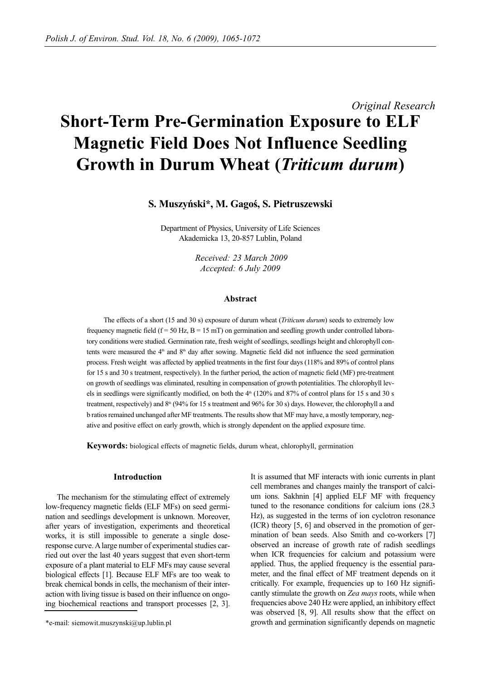# *Original Research* **Short-Term Pre-Germination Exposure to ELF Magnetic Field Does Not Influence Seedling Growth in Durum Wheat (***Triticum durum***)**

# **S. Muszyński\*, M. Gagoś, S. Pietruszewski**

Department of Physics, University of Life Sciences Akademicka 13, 20-857 Lublin, Poland

> *Received: 23 March 2009 Accepted: 6 July 2009*

## **Abstract**

The effects of a short (15 and 30 s) exposure of durum wheat (*Triticum durum*) seeds to extremely low frequency magnetic field ( $f = 50$  Hz,  $B = 15$  mT) on germination and seedling growth under controlled laboratory conditions were studied. Germination rate, fresh weight of seedlings, seedlings height and chlorophyll contents were measured the  $4<sup>th</sup>$  and  $8<sup>th</sup>$  day after sowing. Magnetic field did not influence the seed germination process. Fresh weight was affected by applied treatments in the first four days (118% and 89% of control plans for 15 s and 30 s treatment, respectively). In the further period, the action of magnetic field (MF) pre-treatment on growth of seedlings was eliminated, resulting in compensation of growth potentialities. The chlorophyll levels in seedlings were significantly modified, on both the  $4<sup>th</sup>$  (120% and 87% of control plans for 15 s and 30 s treatment, respectively) and 8<sup>th</sup> (94% for 15 s treatment and 96% for 30 s) days. However, the chlorophyll a and b ratios remained unchanged after MF treatments. The results show that MF may have, a mostly temporary, negative and positive effect on early growth, which is strongly dependent on the applied exposure time.

**Keywords:** biological effects of magnetic fields, durum wheat, chlorophyll, germination

# **Introduction**

The mechanism for the stimulating effect of extremely low-frequency magnetic fields (ELF MFs) on seed germination and seedlings development is unknown. Moreover, after years of investigation, experiments and theoretical works, it is still impossible to generate a single doseresponse curve. A large number of experimental studies carried out over the last 40 years suggest that even short-term exposure of a plant material to ELF MFs may cause several biological effects [1]. Because ELF MFs are too weak to break chemical bonds in cells, the mechanism of their interaction with living tissue is based on their influence on ongoing biochemical reactions and transport processes [2, 3]. It is assumed that MF interacts with ionic currents in plant cell membranes and changes mainly the transport of calcium ions. Sakhnin [4] applied ELF MF with frequency tuned to the resonance conditions for calcium ions (28.3 Hz), as suggested in the terms of ion cyclotron resonance (ICR) theory [5, 6] and observed in the promotion of germination of bean seeds. Also Smith and co-workers [7] observed an increase of growth rate of radish seedlings when ICR frequencies for calcium and potassium were applied. Thus, the applied frequency is the essential parameter, and the final effect of MF treatment depends on it critically. For example, frequencies up to 160 Hz significantly stimulate the growth on *Zea mays* roots, while when frequencies above 240 Hz were applied, an inhibitory effect was observed [8, 9]. All results show that the effect on growth and germination significantly depends on magnetic

<sup>\*</sup>e-mail: siemowit.muszynski@up.lublin.pl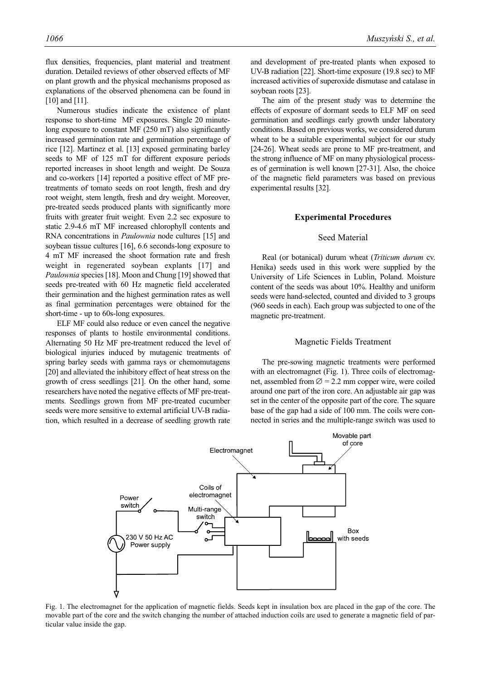flux densities, frequencies, plant material and treatment duration. Detailed reviews of other observed effects of MF on plant growth and the physical mechanisms proposed as explanations of the observed phenomena can be found in [10] and [11].

Numerous studies indicate the existence of plant response to short-time MF exposures. Single 20 minutelong exposure to constant MF (250 mT) also significantly increased germination rate and germination percentage of rice [12]. Martinez et al. [13] exposed germinating barley seeds to MF of 125 mT for different exposure periods reported increases in shoot length and weight. De Souza and co-workers [14] reported a positive effect of MF pretreatments of tomato seeds on root length, fresh and dry root weight, stem length, fresh and dry weight. Moreover, pre-treated seeds produced plants with significantly more fruits with greater fruit weight. Even 2.2 sec exposure to static 2.9-4.6 mT MF increased chlorophyll contents and RNA concentrations in *Paulownia* node cultures [15] and soybean tissue cultures [16], 6.6 seconds-long exposure to 4 mT MF increased the shoot formation rate and fresh weight in regenerated soybean explants [17] and *Paulownia* species [18]. Moon and Chung [19] showed that seeds pre-treated with 60 Hz magnetic field accelerated their germination and the highest germination rates as well as final germination percentages were obtained for the short-time - up to 60s-long exposures.

ELF MF could also reduce or even cancel the negative responses of plants to hostile environmental conditions. Alternating 50 Hz MF pre-treatment reduced the level of biological injuries induced by mutagenic treatments of spring barley seeds with gamma rays or chemomutagens [20] and alleviated the inhibitory effect of heat stress on the growth of cress seedlings [21]. On the other hand, some researchers have noted the negative effects of MF pre-treatments. Seedlings grown from MF pre-treated cucumber seeds were more sensitive to external artificial UV-B radiation, which resulted in a decrease of seedling growth rate and development of pre-treated plants when exposed to UV-B radiation [22]. Short-time exposure (19.8 sec) to MF increased activities of superoxide dismutase and catalase in soybean roots [23].

The aim of the present study was to determine the effects of exposure of dormant seeds to ELF MF on seed germination and seedlings early growth under laboratory conditions. Based on previous works, we considered durum wheat to be a suitable experimental subject for our study [24-26]. Wheat seeds are prone to MF pre-treatment, and the strong influence of MF on many physiological processes of germination is well known [27-31]. Also, the choice of the magnetic field parameters was based on previous experimental results [32].

### **Experimental Procedures**

## Seed Material

Real (or botanical) durum wheat (*Triticum durum* cv. Henika) seeds used in this work were supplied by the University of Life Sciences in Lublin, Poland. Moisture content of the seeds was about 10%. Healthy and uniform seeds were hand-selected, counted and divided to 3 groups (960 seeds in each). Each group was subjected to one of the magnetic pre-treatment.

## Magnetic Fields Treatment

The pre-sowing magnetic treatments were performed with an electromagnet (Fig. 1). Three coils of electromagnet, assembled from  $\varnothing$  = 2.2 mm copper wire, were coiled around one part of the iron core. An adjustable air gap was set in the center of the opposite part of the core. The square base of the gap had a side of 100 mm. The coils were connected in series and the multiple-range switch was used to



Fig. 1. The electromagnet for the application of magnetic fields. Seeds kept in insulation box are placed in the gap of the core. The movable part of the core and the switch changing the number of attached induction coils are used to generate a magnetic field of particular value inside the gap.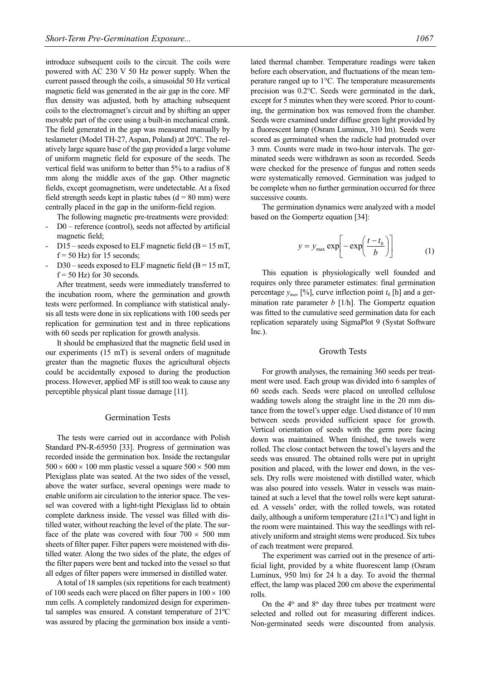introduce subsequent coils to the circuit. The coils were powered with AC 230 V 50 Hz power supply. When the current passed through the coils, a sinusoidal 50 Hz vertical magnetic field was generated in the air gap in the core. MF flux density was adjusted, both by attaching subsequent coils to the electromagnet's circuit and by shifting an upper movable part of the core using a built-in mechanical crank. The field generated in the gap was measured manually by teslameter (Model TH-27, Aspan, Poland) at 20ºC. The relatively large square base of the gap provided a large volume of uniform magnetic field for exposure of the seeds. The vertical field was uniform to better than 5% to a radius of 8 mm along the middle axes of the gap. Other magnetic fields, except geomagnetism, were undetectable. At a fixed field strength seeds kept in plastic tubes ( $d = 80$  mm) were centrally placed in the gap in the uniform-field region.

The following magnetic pre-treatments were provided:

- $D0$  reference (control), seeds not affected by artificial magnetic field;
- D15 seeds exposed to ELF magnetic field ( $B = 15$  mT,  $f = 50$  Hz) for 15 seconds;
- D30 seeds exposed to ELF magnetic field ( $B = 15$  mT,  $f = 50$  Hz) for 30 seconds.

After treatment, seeds were immediately transferred to the incubation room, where the germination and growth tests were performed. In compliance with statistical analysis all tests were done in six replications with 100 seeds per replication for germination test and in three replications with 60 seeds per replication for growth analysis.

It should be emphasized that the magnetic field used in our experiments (15 mT) is several orders of magnitude greater than the magnetic fluxes the agricultural objects could be accidentally exposed to during the production process. However, applied MF is still too weak to cause any perceptible physical plant tissue damage [11].

# Germination Tests

The tests were carried out in accordance with Polish Standard PN-R-65950 [33]. Progress of germination was recorded inside the germination box. Inside the rectangular  $500 \times 600 \times 100$  mm plastic vessel a square  $500 \times 500$  mm Plexiglass plate was seated. At the two sides of the vessel, above the water surface, several openings were made to enable uniform air circulation to the interior space. The vessel was covered with a light-tight Plexiglass lid to obtain complete darkness inside. The vessel was filled with distilled water, without reaching the level of the plate. The surface of the plate was covered with four  $700 \times 500$  mm sheets of filter paper. Filter papers were moistened with distilled water. Along the two sides of the plate, the edges of the filter papers were bent and tucked into the vessel so that all edges of filter papers were immersed in distilled water.

A total of 18 samples (six repetitions for each treatment) of 100 seeds each were placed on filter papers in  $100 \times 100$ mm cells. A completely randomized design for experimental samples was ensured. A constant temperature of 21ºC was assured by placing the germination box inside a ventilated thermal chamber. Temperature readings were taken before each observation, and fluctuations of the mean temperature ranged up to 1°C. The temperature measurements precision was 0.2°C. Seeds were germinated in the dark, except for 5 minutes when they were scored. Prior to counting, the germination box was removed from the chamber. Seeds were examined under diffuse green light provided by a fluorescent lamp (Osram Luminux, 310 lm). Seeds were scored as germinated when the radicle had protruded over 3 mm. Counts were made in two-hour intervals. The germinated seeds were withdrawn as soon as recorded. Seeds were checked for the presence of fungus and rotten seeds were systematically removed. Germination was judged to be complete when no further germination occurred for three successive counts.

The germination dynamics were analyzed with a model based on the Gompertz equation [34]:

$$
y = y_{\text{max}} \exp\left[-\exp\left(\frac{t - t_0}{b}\right)\right] \tag{1}
$$

This equation is physiologically well founded and requires only three parameter estimates: final germination percentage  $y_{max}$  [%], curve inflection point  $t_0$  [h] and a germination rate parameter *b* [1/h]. The Gompertz equation was fitted to the cumulative seed germination data for each replication separately using SigmaPlot 9 (Systat Software Inc.).

# Growth Tests

For growth analyses, the remaining 360 seeds per treatment were used. Each group was divided into 6 samples of 60 seeds each. Seeds were placed on unrolled cellulose wadding towels along the straight line in the 20 mm distance from the towel's upper edge. Used distance of 10 mm between seeds provided sufficient space for growth. Vertical orientation of seeds with the germ pore facing down was maintained. When finished, the towels were rolled. The close contact between the towel's layers and the seeds was ensured. The obtained rolls were put in upright position and placed, with the lower end down, in the vessels. Dry rolls were moistened with distilled water, which was also poured into vessels. Water in vessels was maintained at such a level that the towel rolls were kept saturated. A vessels' order, with the rolled towels, was rotated daily, although a uniform temperature  $(21 \pm 1^{\circ}C)$  and light in the room were maintained. This way the seedlings with relatively uniform and straight stems were produced. Six tubes of each treatment were prepared.

The experiment was carried out in the presence of artificial light, provided by a white fluorescent lamp (Osram Luminux, 950 lm) for 24 h a day. To avoid the thermal effect, the lamp was placed 200 cm above the experimental rolls.

On the  $4<sup>th</sup>$  and  $8<sup>th</sup>$  day three tubes per treatment were selected and rolled out for measuring different indices. Non-germinated seeds were discounted from analysis.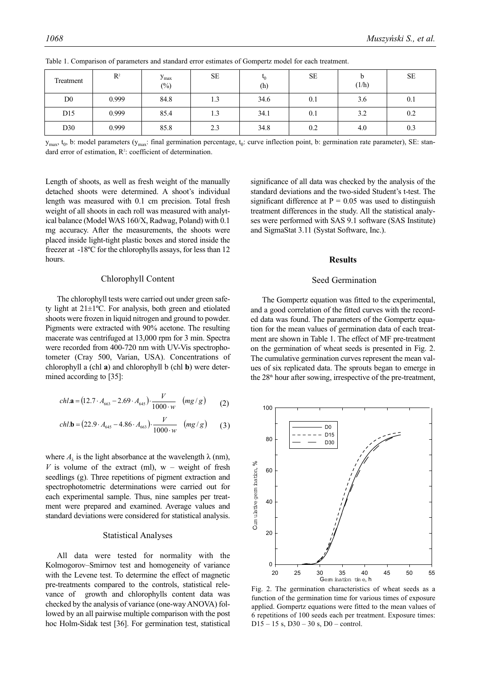| Treatment      | $\mathbf{R}^2$ | $y_{max}$<br>$(\%)$ | <b>SE</b>                       | 5<br>(h) | <b>SE</b> | b<br>(1/h) | <b>SE</b> |
|----------------|----------------|---------------------|---------------------------------|----------|-----------|------------|-----------|
| D <sub>0</sub> | 0.999          | 84.8                | $\overline{\phantom{a}}$<br>1.3 | 34.6     | 0.1       | 3.6        | 0.1       |
| D15            | 0.999          | 85.4                | $\overline{\phantom{a}}$<br>1.3 | 34.1     | 0.1       | 3.2        | 0.2       |
| D30            | 0.999          | 85.8                | 2.3                             | 34.8     | 0.2       | 4.0        | 0.3       |

Table 1. Comparison of parameters and standard error estimates of Gompertz model for each treatment.

 $y_{\text{max}}$ ,  $t_0$ , b: model parameters  $(y_{\text{max}}$ : final germination percentage,  $t_0$ : curve inflection point, b: germination rate parameter), SE: standard error of estimation,  $\mathbb{R}^2$ : coefficient of determination.

Length of shoots, as well as fresh weight of the manually detached shoots were determined. A shoot's individual length was measured with 0.1 cm precision. Total fresh weight of all shoots in each roll was measured with analytical balance (Model WAS 160/X, Radwag, Poland) with 0.1 mg accuracy. After the measurements, the shoots were placed inside light-tight plastic boxes and stored inside the freezer at -18ºC for the chlorophylls assays, for less than 12 hours.

# Chlorophyll Content

The chlorophyll tests were carried out under green safety light at 21±1ºC. For analysis, both green and etiolated shoots were frozen in liquid nitrogen and ground to powder. Pigments were extracted with 90% acetone. The resulting macerate was centrifuged at 13,000 rpm for 3 min. Spectra were recorded from 400-720 nm with UV-Vis spectrophotometer (Cray 500, Varian, USA). Concentrations of chlorophyll a (chl **a**) and chlorophyll b (chl **b**) were determined according to [35]:

$$
chl.\mathbf{a} = (12.7 \cdot A_{663} - 2.69 \cdot A_{645}) \cdot \frac{V}{1000 \cdot w} \quad (mg/g) \tag{2}
$$

$$
chI. \mathbf{b} = (22.9 \cdot A_{645} - 4.86 \cdot A_{663}) \cdot \frac{V}{1000 \cdot w} \quad (mg/g) \tag{3}
$$

where  $A_{\lambda}$  is the light absorbance at the wavelength  $\lambda$  (nm), *V* is volume of the extract (ml),  $w -$  weight of fresh seedlings (g). Three repetitions of pigment extraction and spectrophotometric determinations were carried out for each experimental sample. Thus, nine samples per treatment were prepared and examined. Average values and standard deviations were considered for statistical analysis.

## Statistical Analyses

All data were tested for normality with the Kolmogorov–Smirnov test and homogeneity of variance with the Levene test. To determine the effect of magnetic pre-treatments compared to the controls, statistical relevance of growth and chlorophylls content data was checked by the analysis of variance (one-way ANOVA) followed by an all pairwise multiple comparison with the post hoc Holm-Sidak test [36]. For germination test, statistical significance of all data was checked by the analysis of the standard deviations and the two-sided Student's t-test. The significant difference at  $P = 0.05$  was used to distinguish treatment differences in the study. All the statistical analyses were performed with SAS 9.1 software (SAS Institute) and SigmaStat 3.11 (Systat Software, Inc.).

## **Results**

# Seed Germination

The Gompertz equation was fitted to the experimental, and a good correlation of the fitted curves with the recorded data was found. The parameters of the Gompertz equation for the mean values of germination data of each treatment are shown in Table 1. The effect of MF pre-treatment on the germination of wheat seeds is presented in Fig. 2. The cumulative germination curves represent the mean values of six replicated data. The sprouts began to emerge in the  $28<sup>th</sup>$  hour after sowing, irrespective of the pre-treatment,



Fig. 2. The germination characteristics of wheat seeds as a function of the germination time for various times of exposure applied. Gompertz equations were fitted to the mean values of 6 repetitions of 100 seeds each per treatment. Exposure times:  $D15 - 15$  s,  $D30 - 30$  s,  $D0 -$  control.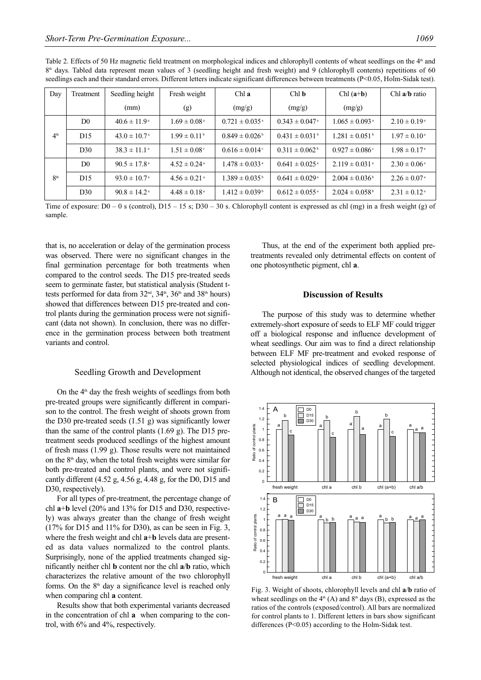Table 2. Effects of 50 Hz magnetic field treatment on morphological indices and chlorophyll contents of wheat seedlings on the 4<sup>th</sup> and  $8<sup>th</sup>$  days. Tabled data represent mean values of 3 (seedling height and fresh weight) and 9 (chlorophyll contents) repetitions of 60 seedlings each and their standard errors. Different letters indicate significant differences between treatments (P<0.05, Holm-Sidak test).

| Day             | Treatment      | Seedling height         | Fresh weight                 | $Chl$ a                        | Chl <sub>b</sub>               | $Chl(a+b)$                     | Chl $a/b$ ratio         |
|-----------------|----------------|-------------------------|------------------------------|--------------------------------|--------------------------------|--------------------------------|-------------------------|
|                 |                | (mm)                    | (g)                          | (mg/g)                         | (mg/g)                         | (mg/g)                         |                         |
| 4 <sup>th</sup> | D <sub>0</sub> | $40.6 \pm 11.9^{\circ}$ | $1.69 \pm 0.08^{\text{a}}$   | $0.721 \pm 0.035$ <sup>a</sup> | $0.343 \pm 0.047$ <sup>a</sup> | $1.065 \pm 0.093$ <sup>a</sup> | $2.10 \pm 0.19^{\circ}$ |
|                 | D15            | $43.0 \pm 10.7^{\circ}$ | $1.99 \pm 0.11^{\circ}$      | $0.849 \pm 0.026^{\circ}$      | $0.431 \pm 0.031$ <sup>b</sup> | $1.281 \pm 0.051$ <sup>b</sup> | $1.97 \pm 0.10^{\circ}$ |
|                 | D30            | $38.3 \pm 11.1^{\circ}$ | $1.51 \pm 0.08$ <sup>c</sup> | $0.616 \pm 0.014$ <sup>c</sup> | $0.311 \pm 0.062^{\mathrm{b}}$ | $0.927 \pm 0.086^{\circ}$      | $1.98 \pm 0.17^{\circ}$ |
| 8 <sup>th</sup> | D <sub>0</sub> | $90.5 \pm 17.8^{\circ}$ | $4.52 \pm 0.24$ <sup>a</sup> | $1.478 \pm 0.033$ <sup>a</sup> | $0.641 \pm 0.025$ <sup>a</sup> | $2.119 \pm 0.031$ <sup>a</sup> | $2.30 \pm 0.06^{\circ}$ |
|                 | D15            | $93.0 \pm 10.7^{\circ}$ | $4.56 \pm 0.21$ <sup>a</sup> | $1.389 \pm 0.035^{\circ}$      | $0.641 \pm 0.029$ <sup>a</sup> | $2.004 \pm 0.036^{\circ}$      | $2.26 \pm 0.07^{\circ}$ |
|                 | D30            | $90.8 \pm 14.2^{\circ}$ | $4.48 \pm 0.18^{\circ}$      | $1.412 \pm 0.039^{\circ}$      | $0.612 \pm 0.055$ <sup>a</sup> | $2.024 \pm 0.058^{\circ}$      | $2.31 \pm 0.12^{\circ}$ |

Time of exposure:  $D0 - 0$  s (control),  $D15 - 15$  s;  $D30 - 30$  s. Chlorophyll content is expressed as chl (mg) in a fresh weight (g) of sample.

that is, no acceleration or delay of the germination process was observed. There were no significant changes in the final germination percentage for both treatments when compared to the control seeds. The D15 pre-treated seeds seem to germinate faster, but statistical analysis (Student ttests performed for data from  $32<sup>nd</sup>$ ,  $34<sup>th</sup>$ ,  $36<sup>th</sup>$  and  $38<sup>th</sup>$  hours) showed that differences between D15 pre-treated and control plants during the germination process were not significant (data not shown). In conclusion, there was no difference in the germination process between both treatment variants and control.

## Seedling Growth and Development

On the  $4<sup>th</sup>$  day the fresh weights of seedlings from both pre-treated groups were significantly different in comparison to the control. The fresh weight of shoots grown from the D30 pre-treated seeds (1.51 g) was significantly lower than the same of the control plants (1.69 g). The D15 pretreatment seeds produced seedlings of the highest amount of fresh mass (1.99 g). Those results were not maintained on the  $8<sup>th</sup>$  day, when the total fresh weights were similar for both pre-treated and control plants, and were not significantly different (4.52 g, 4.56 g, 4.48 g, for the D0, D15 and D30, respectively).

For all types of pre-treatment, the percentage change of chl **a**+**b** level (20% and 13% for D15 and D30, respectively) was always greater than the change of fresh weight  $(17\%$  for D15 and  $11\%$  for D30), as can be seen in Fig. 3, where the fresh weight and chl **a**+**b** levels data are presented as data values normalized to the control plants. Surprisingly, none of the applied treatments changed significantly neither chl **b** content nor the chl **a**/**b** ratio, which characterizes the relative amount of the two chlorophyll forms. On the  $8<sup>th</sup>$  day a significance level is reached only when comparing chl **a** content.

Results show that both experimental variants decreased in the concentration of chl **a** when comparing to the control, with 6% and 4%, respectively.

Thus, at the end of the experiment both applied pretreatments revealed only detrimental effects on content of one photosynthetic pigment, chl **a**.

## **Discussion of Results**

The purpose of this study was to determine whether extremely-short exposure of seeds to ELF MF could trigger off a biological response and influence development of wheat seedlings. Our aim was to find a direct relationship between ELF MF pre-treatment and evoked response of selected physiological indices of seedling development. Although not identical, the observed changes of the targeted



Fig. 3. Weight of shoots, chlorophyll levels and chl **a**/**b** ratio of wheat seedlings on the  $4<sup>th</sup>$  (A) and  $8<sup>th</sup>$  days (B), expressed as the ratios of the controls (exposed/control). All bars are normalized for control plants to 1. Different letters in bars show significant differences (P<0.05) according to the Holm-Sidak test.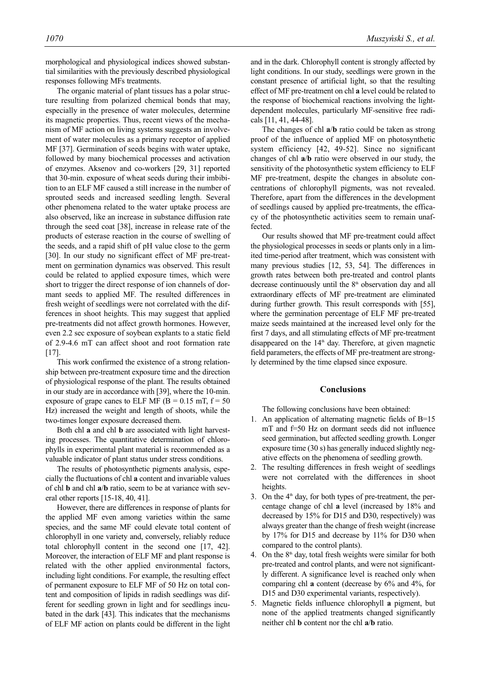morphological and physiological indices showed substantial similarities with the previously described physiological responses following MFs treatments.

The organic material of plant tissues has a polar structure resulting from polarized chemical bonds that may, especially in the presence of water molecules, determine its magnetic properties. Thus, recent views of the mechanism of MF action on living systems suggests an involvement of water molecules as a primary receptor of applied MF [37]. Germination of seeds begins with water uptake, followed by many biochemical processes and activation of enzymes. Aksenov and co-workers [29, 31] reported that 30-min. exposure of wheat seeds during their imbibition to an ELF MF caused a still increase in the number of sprouted seeds and increased seedling length. Several other phenomena related to the water uptake process are also observed, like an increase in substance diffusion rate through the seed coat [38], increase in release rate of the products of esterase reaction in the course of swelling of the seeds, and a rapid shift of pH value close to the germ [30]. In our study no significant effect of MF pre-treatment on germination dynamics was observed. This result could be related to applied exposure times, which were short to trigger the direct response of ion channels of dormant seeds to applied MF. The resulted differences in fresh weight of seedlings were not correlated with the differences in shoot heights. This may suggest that applied pre-treatments did not affect growth hormones. However, even 2.2 sec exposure of soybean explants to a static field of 2.9-4.6 mT can affect shoot and root formation rate  $[17]$ .

This work confirmed the existence of a strong relationship between pre-treatment exposure time and the direction of physiological response of the plant. The results obtained in our study are in accordance with [39], where the 10-min. exposure of grape canes to ELF MF ( $B = 0.15$  mT,  $f = 50$ Hz) increased the weight and length of shoots, while the two-times longer exposure decreased them.

Both chl **a** and chl **b** are associated with light harvesting processes. The quantitative determination of chlorophylls in experimental plant material is recommended as a valuable indicator of plant status under stress conditions.

The results of photosynthetic pigments analysis, especially the fluctuations of chl **a** content and invariable values of chl **b** and chl **a**/**b** ratio, seem to be at variance with several other reports [15-18, 40, 41].

However, there are differences in response of plants for the applied MF even among varieties within the same species, and the same MF could elevate total content of chlorophyll in one variety and, conversely, reliably reduce total chlorophyll content in the second one [17, 42]. Moreover, the interaction of ELF MF and plant response is related with the other applied environmental factors, including light conditions. For example, the resulting effect of permanent exposure to ELF MF of 50 Hz on total content and composition of lipids in radish seedlings was different for seedling grown in light and for seedlings incubated in the dark [43]. This indicates that the mechanisms of ELF MF action on plants could be different in the light

and in the dark. Chlorophyll content is strongly affected by light conditions. In our study, seedlings were grown in the constant presence of artificial light, so that the resulting effect of MF pre-treatment on chl **a** level could be related to the response of biochemical reactions involving the lightdependent molecules, particularly MF-sensitive free radicals [11, 41, 44-48].

The changes of chl **a**/**b** ratio could be taken as strong proof of the influence of applied MF on photosynthetic system efficiency [42, 49-52]. Since no significant changes of chl **a**/**b** ratio were observed in our study, the sensitivity of the photosynthetic system efficiency to ELF MF pre-treatment, despite the changes in absolute concentrations of chlorophyll pigments, was not revealed. Therefore, apart from the differences in the development of seedlings caused by applied pre-treatments, the efficacy of the photosynthetic activities seem to remain unaffected.

Our results showed that MF pre-treatment could affect the physiological processes in seeds or plants only in a limited time-period after treatment, which was consistent with many previous studies [12, 53, 54]. The differences in growth rates between both pre-treated and control plants decrease continuously until the  $8<sup>th</sup>$  observation day and all extraordinary effects of MF pre-treatment are eliminated during further growth. This result corresponds with [55], where the germination percentage of ELF MF pre-treated maize seeds maintained at the increased level only for the first 7 days, and all stimulating effects of MF pre-treatment disappeared on the 14<sup>th</sup> day. Therefore, at given magnetic field parameters, the effects of MF pre-treatment are strongly determined by the time elapsed since exposure.

# **Conclusions**

The following conclusions have been obtained:

- 1. An application of alternating magnetic fields of B=15 mT and f=50 Hz on dormant seeds did not influence seed germination, but affected seedling growth. Longer exposure time (30 s) has generally induced slightly negative effects on the phenomena of seedling growth.
- 2. The resulting differences in fresh weight of seedlings were not correlated with the differences in shoot heights.
- 3. On the  $4<sup>th</sup>$  day, for both types of pre-treatment, the percentage change of chl **a** level (increased by 18% and decreased by 15% for D15 and D30, respectively) was always greater than the change of fresh weight (increase by 17% for D15 and decrease by 11% for D30 when compared to the control plants).
- 4. On the  $8<sup>th</sup>$  day, total fresh weights were similar for both pre-treated and control plants, and were not significantly different. A significance level is reached only when comparing chl **a** content (decrease by 6% and 4%, for D15 and D30 experimental variants, respectively).
- 5. Magnetic fields influence chlorophyll **a** pigment, but none of the applied treatments changed significantly neither chl **b** content nor the chl **a**/**b** ratio.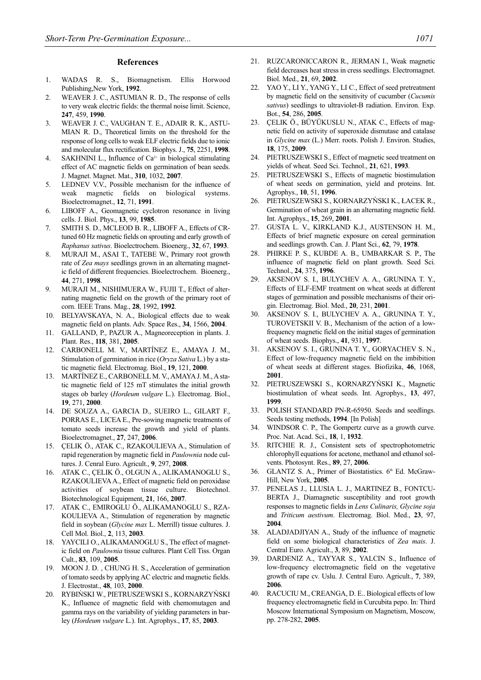#### **References**

- 1. WADAS R. S., Biomagnetism. Ellis Horwood Publishing,New York, **1992**.
- 2. WEAVER J. C., ASTUMIAN R. D., The response of cells to very weak electric fields: the thermal noise limit. Science, **247**, 459, **1990**.
- 3. WEAVER J. C., VAUGHAN T. E., ADAIR R. K., ASTU-MIAN R. D., Theoretical limits on the threshold for the response of long cells to weak ELF electric fields due to ionic and molecular flux rectification. Biophys. J., **75**, 2251, **1998**.
- 4. SAKHNINI L., Influence of  $Ca<sup>2+</sup>$  in biological stimulating effect of AC magnetic fields on germination of bean seeds. J. Magnet. Magnet. Mat., **310**, 1032, **2007**.
- 5. LEDNEV V.V., Possible mechanism for the influence of weak magnetic fields on biological systems. Bioelectromagnet., **12**, 71, **1991**.
- 6. LIBOFF A., Geomagnetic cyclotron resonance in living cells. J. Biol. Phys., **13**, 99, **1985**.
- 7. SMITH S. D., MCLEOD B. R., LIBOFF A., Effects of CRtuned 60 Hz magnetic fields on sprouting and early growth of *Raphanus sativus*. Bioelectrochem. Bioenerg., **32**, 67, **1993**.
- 8. MURAJI M., ASAI T., TATEBE W., Primary root growth rate of *Zea mays* seedlings grown in an alternating magnetic field of different frequencies. Bioelectrochem. Bioenerg., **44**, 271, **1998**.
- 9. MURAJI M., NISHIMUERA W., FUJII T., Effect of alternating magnetic field on the growth of the primary root of corn. IEEE Trans. Mag., **28**, 1992, **1992**.
- 10. BELYAVSKAYA, N. A., Biological effects due to weak magnetic field on plants. Adv. Space Res., **34**, 1566, **2004**.
- 11. GALLAND, P., PAZUR A., Magneoreception in plants. J. Plant. Res., **118**, 381, **2005**.
- 12. CARBONELL M. V., MARTÍNEZ E., AMAYA J. M., Stimulation of germination in rice (*Oryza Sativa* L.) by a static magnetic field. Electromag. Biol., **19**, 121, **2000**.
- 13. MARTÍNEZ E., CARBONELL M. V., AMAYA J. M., A static magnetic field of 125 mT stimulates the initial growth stages ob barley (*Hordeum vulgare* L.). Electromag. Biol., **19**, 271, **2000**.
- 14. DE SOUZA A., GARCIA D., SUEIRO L., GILART F., PORRAS E., LICEA E., Pre-sowing magnetic treatments of tomato seeds increase the growth and yield of plants. Bioelectromagnet., **27**, 247, **2006**.
- 15. ÇELIK Ö., ATAK C., RZAKOULIEVA A., Stimulation of rapid regeneration by magnetic field in *Paulownia* node cultures. J. Cenral Euro. Agricult., **9**, 297, **2008**.
- 16. ATAK C., ÇELIK Ö., OLGUN A., ALIKAMANOGLU S., RZAKOULIEVA A., Effect of magnetic field on peroxidase activities of soybean tissue culture. Biotechnol. Biotechnological Equipment, **21**, 166, **2007**.
- 17. ATAK C., EMIROGLU Ö., ALIKAMANOGLU S., RZA-KOULIEVA A., Stimulation of regeneration by magnetic field in soybean (*Glycine max* L. Merrill) tissue cultures. J. Cell Mol. Biol., **2**, 113, **2003**.
- 18. YAYCILI O., ALIKAMANOGLU S., The effect of magnetic field on *Paulownia* tissue cultures. Plant Cell Tiss. Organ Cult., **83**, 109, **2005**.
- MOON J. D., CHUNG H. S., Acceleration of germination of tomato seeds by applying AC electric and magnetic fields. J. Electrostat., **48**, 103, **2000**.
- 20. RYBIŃSKI W., PIETRUSZEWSKI S., KORNARZYŃSKI K., Influence of magnetic field with chemomutagen and gamma rays on the variability of yielding parameters in barley (*Hordeum vulgare* L.). Int. Agrophys., **17**, 85, **2003**.
- 21. RUZCARONICCARON R., JERMAN I., Weak magnetic field decreases heat stress in cress seedlings. Electromagnet. Biol. Med., **21**, 69, **2002**.
- 22. YAO Y., LI Y., YANG Y., LI C., Effect of seed pretreatment by magnetic field on the sensitivity of cucumber (*Cucumis sativus*) seedlings to ultraviolet-B radiation. Environ. Exp. Bot., **54**, 286, **2005**.
- 23. ÇELIK Ö., BÜYÜKUSLU N., ATAK C., Effects of magnetic field on activity of superoxide dismutase and catalase in *Glycine max* (L.) Merr. roots. Polish J. Environ. Studies, **18**, 175, **2009**.
- 24. PIETRUSZEWSKI S., Effect of magnetic seed treatment on yields of wheat. Seed Sci. Technol., **21**, 621, **1993**.
- 25. PIETRUSZEWSKI S., Effects of magnetic biostimulation of wheat seeds on germination, yield and proteins. Int. Agrophys., **10**, 51, **1996**.
- 26. PIETRUSZEWSKI S., KORNARZYŃSKI K., ŁACEK R., Germination of wheat grain in an alternating magnetic field. Int. Agrophys., **15**, 269, **2001**.
- 27. GUSTA L. V., KIRKLAND K.J., AUSTENSON H. M., Effects of brief magnetic exposure on cereal germination and seedlings growth. Can. J. Plant Sci., **62**, 79, **1978**.
- 28. PHIRKE P. S., KUBDE A. B., UMBARKAR S. P., The influence of magnetic field on plant growth. Seed Sci. Technol., **24**, 375, **1996**.
- 29. AKSENOV S. I., BULYCHEV A. A., GRUNINA T. Y., Effects of ELF-EMF treatment on wheat seeds at different stages of germination and possible mechanisms of their origin. Electromag. Biol. Med., **20**, 231, **2001**.
- 30. AKSENOV S. I., BULYCHEV A. A., GRUNINA T. Y., TUROVETSKII V. B., Mechanism of the action of a lowfrequency magnetic field on the initial stages of germination of wheat seeds. Biophys., **41**, 931, **1997**.
- 31. AKSENOV S. I., GRUNINA T. Y., GORYACHEV S. N., Effect of low-frequency magnetic field on the imbibition of wheat seeds at different stages. Biofizika, **46**, 1068, **2001**.
- 32. PIETRUSZEWSKI S., KORNARZYŃSKI K., Magnetic biostimulation of wheat seeds. Int. Agrophys., **13**, 497, **1999**.
- 33. POLISH STANDARD PN-R-65950. Seeds and seedlings. Seeds testing methods, **1994**. [In Polish]
- 34. WINDSOR C. P., The Gompertz curve as a growth curve. Proc. Nat. Acad. Sci., **18**, 1, **1932**.
- 35. RITCHIE R. J., Consistent sets of spectrophotometric chlorophyll equations for acetone, methanol and ethanol solvents. Photosynt. Res., **89**, 27, **2006**.
- 36. GLANTZ S. A., Primer of Biostatistics. 6th Ed. McGraw-Hill, New York, **2005**.
- 37. PENELAS J., LLUSIA L. J., MARTINEZ B., FONTCU-BERTA J., Diamagnetic susceptibility and root growth responses to magnetic fields in *Lens Culinaris, Glycine soja* and *Triticum aestivum*. Electromag. Biol. Med., **23**, 97, **2004**.
- 38. ALADJADJIYAN A., Study of the influence of magnetic field on some biological characteristics of *Zea mais*. J. Central Euro. Agricult., **3**, 89, **2002**.
- 39. DARDENIZ A., TAYYAR S., YALCIN S., Influence of low-frequency electromagnetic field on the vegetative growth of rape cv. Uslu. J. Central Euro. Agricult., **7**, 389, **2006**.
- 40. RACUCIU M., CREANGA, D. E.. Biological effects of low frequency electromagnetic field in Curcubita pepo. In: Third Moscow International Symposium on Magnetism, Moscow, pp. 278-282, **2005**.